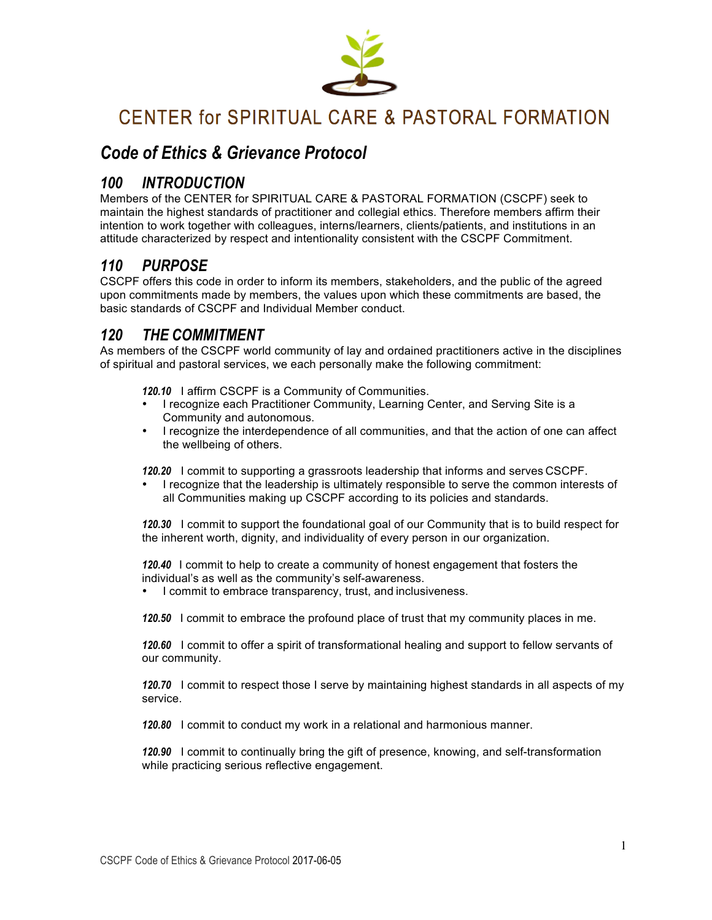

# CENTER for SPIRITUAL CARE & PASTORAL FORMATION

# *Code of Ethics & Grievance Protocol*

# *100 INTRODUCTION*

Members of the CENTER for SPIRITUAL CARE & PASTORAL FORMATION (CSCPF) seek to maintain the highest standards of practitioner and collegial ethics. Therefore members affirm their intention to work together with colleagues, interns/learners, clients/patients, and institutions in an attitude characterized by respect and intentionality consistent with the CSCPF Commitment.

# *110 PURPOSE*

CSCPF offers this code in order to inform its members, stakeholders, and the public of the agreed upon commitments made by members, the values upon which these commitments are based, the basic standards of CSCPF and Individual Member conduct.

# *120 THE COMMITMENT*

As members of the CSCPF world community of lay and ordained practitioners active in the disciplines of spiritual and pastoral services, we each personally make the following commitment:

*120.10* I affirm CSCPF is a Community of Communities.

- I recognize each Practitioner Community, Learning Center, and Serving Site is a Community and autonomous.
- I recognize the interdependence of all communities, and that the action of one can affect the wellbeing of others.

*120.20* I commit to supporting a grassroots leadership that informs and serves CSCPF.

• I recognize that the leadership is ultimately responsible to serve the common interests of all Communities making up CSCPF according to its policies and standards.

*120.30* I commit to support the foundational goal of our Community that is to build respect for the inherent worth, dignity, and individuality of every person in our organization.

*120.40* I commit to help to create a community of honest engagement that fosters the individual's as well as the community's self-awareness.

• I commit to embrace transparency, trust, and inclusiveness.

*120.50* I commit to embrace the profound place of trust that my community places in me.

*120.60* I commit to offer a spirit of transformational healing and support to fellow servants of our community.

*120.70* I commit to respect those I serve by maintaining highest standards in all aspects of my service.

*120.80* I commit to conduct my work in a relational and harmonious manner.

*120.90* I commit to continually bring the gift of presence, knowing, and self-transformation while practicing serious reflective engagement.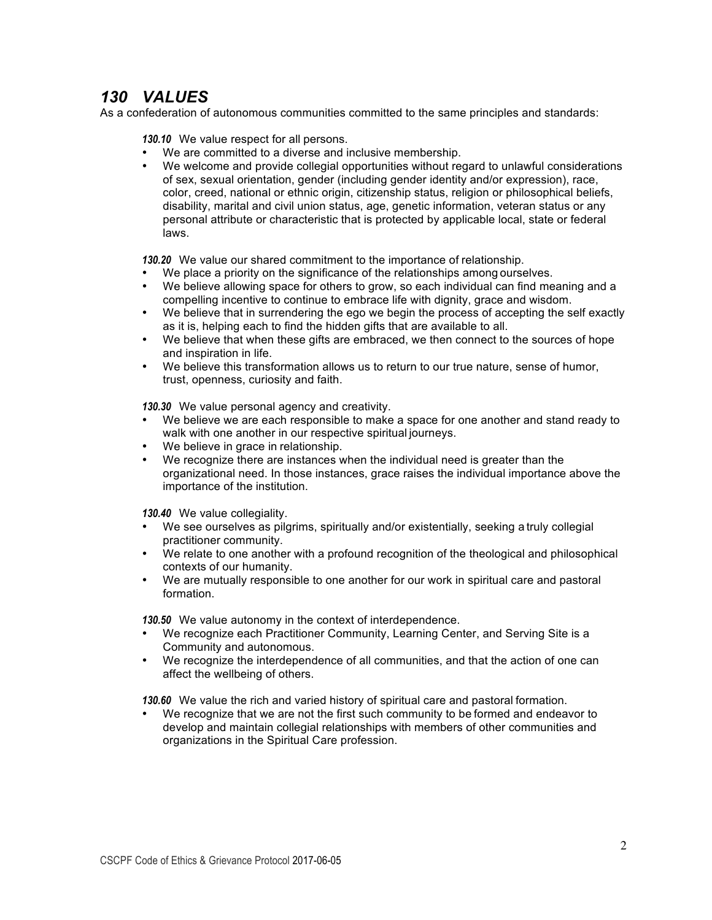# *130 VALUES*

As a confederation of autonomous communities committed to the same principles and standards:

*130.10* We value respect for all persons.

- We are committed to a diverse and inclusive membership.<br>• We welcome and provide collegial opportunities without re-
- We welcome and provide collegial opportunities without regard to unlawful considerations of sex, sexual orientation, gender (including gender identity and/or expression), race, color, creed, national or ethnic origin, citizenship status, religion or philosophical beliefs, disability, marital and civil union status, age, genetic information, veteran status or any personal attribute or characteristic that is protected by applicable local, state or federal laws.

*130.20* We value our shared commitment to the importance of relationship.

- We place a priority on the significance of the relationships among ourselves.
- We believe allowing space for others to grow, so each individual can find meaning and a compelling incentive to continue to embrace life with dignity, grace and wisdom.
- We believe that in surrendering the ego we begin the process of accepting the self exactly as it is, helping each to find the hidden gifts that are available to all.
- We believe that when these gifts are embraced, we then connect to the sources of hope and inspiration in life.
- We believe this transformation allows us to return to our true nature, sense of humor, trust, openness, curiosity and faith.

*130.30* We value personal agency and creativity.

- We believe we are each responsible to make a space for one another and stand ready to walk with one another in our respective spiritual journeys.
- We believe in grace in relationship.
- We recognize there are instances when the individual need is greater than the organizational need. In those instances, grace raises the individual importance above the importance of the institution.

*130.40* We value collegiality.

- We see ourselves as pilgrims, spiritually and/or existentially, seeking a truly collegial practitioner community.
- We relate to one another with a profound recognition of the theological and philosophical contexts of our humanity.
- We are mutually responsible to one another for our work in spiritual care and pastoral formation.

*130.50* We value autonomy in the context of interdependence.

- We recognize each Practitioner Community, Learning Center, and Serving Site is a Community and autonomous.
- We recognize the interdependence of all communities, and that the action of one can affect the wellbeing of others.

*130.60* We value the rich and varied history of spiritual care and pastoral formation.

We recognize that we are not the first such community to be formed and endeavor to develop and maintain collegial relationships with members of other communities and organizations in the Spiritual Care profession.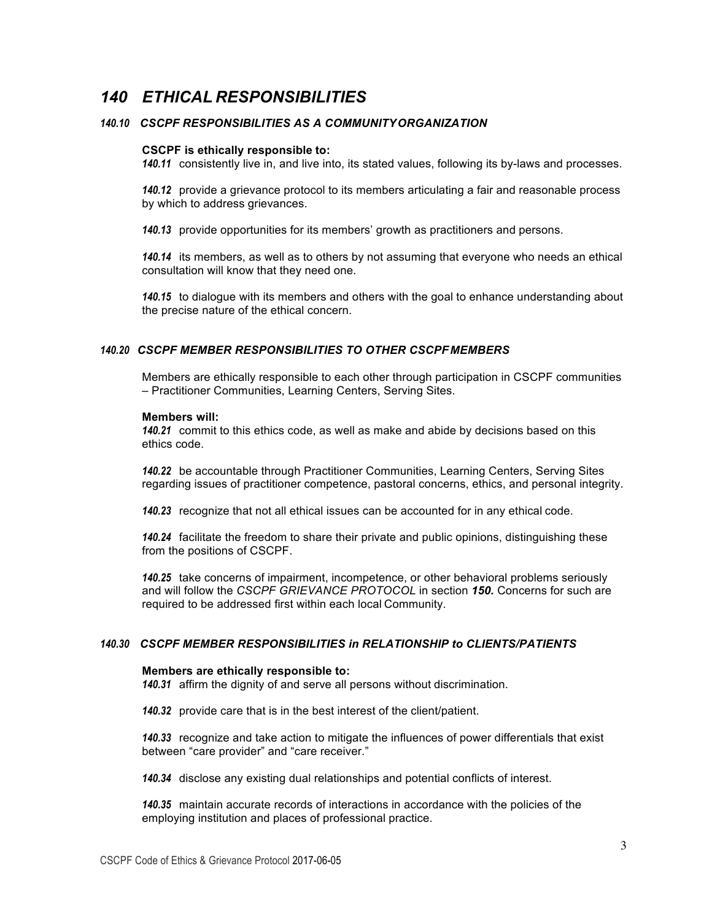# *140 ETHICAL RESPONSIBILITIES*

## *140.10 CSCPF RESPONSIBILITIES AS A COMMUNITYORGANIZATION*

#### **CSCPF is ethically responsible to:**

*140.11* consistently live in, and live into, its stated values, following its by-laws and processes.

*140.12* provide a grievance protocol to its members articulating a fair and reasonable process by which to address grievances.

*140.13* provide opportunities for its members' growth as practitioners and persons.

*140.14* its members, as well as to others by not assuming that everyone who needs an ethical consultation will know that they need one.

*140.15* to dialogue with its members and others with the goal to enhance understanding about the precise nature of the ethical concern.

### *140.20 CSCPF MEMBER RESPONSIBILITIES TO OTHER CSCPF MEMBERS*

Members are ethically responsible to each other through participation in CSCPF communities – Practitioner Communities, Learning Centers, Serving Sites.

#### **Members will:**

*140.21* commit to this ethics code, as well as make and abide by decisions based on this ethics code.

*140.22* be accountable through Practitioner Communities, Learning Centers, Serving Sites regarding issues of practitioner competence, pastoral concerns, ethics, and personal integrity.

*140.23* recognize that not all ethical issues can be accounted for in any ethical code.

*140.24* facilitate the freedom to share their private and public opinions, distinguishing these from the positions of CSCPF.

*140.25* take concerns of impairment, incompetence, or other behavioral problems seriously and will follow the *CSCPF GRIEVANCE PROTOCOL* in section *150.* Concerns for such are required to be addressed first within each local Community.

## *140.30 CSCPF MEMBER RESPONSIBILITIES in RELATIONSHIP to CLIENTS/PATIENTS*

#### **Members are ethically responsible to:**

*140.31* affirm the dignity of and serve all persons without discrimination.

*140.32* provide care that is in the best interest of the client/patient.

*140.33* recognize and take action to mitigate the influences of power differentials that exist between "care provider" and "care receiver."

*140.34* disclose any existing dual relationships and potential conflicts of interest.

*140.35* maintain accurate records of interactions in accordance with the policies of the employing institution and places of professional practice.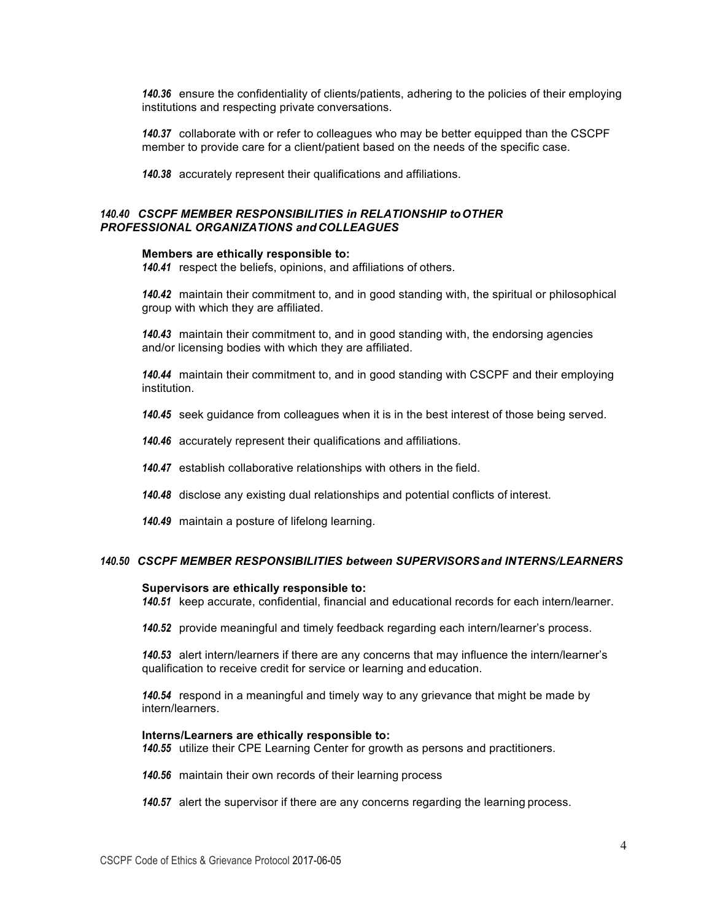*140.36* ensure the confidentiality of clients/patients, adhering to the policies of their employing institutions and respecting private conversations.

*140.37* collaborate with or refer to colleagues who may be better equipped than the CSCPF member to provide care for a client/patient based on the needs of the specific case.

*140.38* accurately represent their qualifications and affiliations.

## *140.40 CSCPF MEMBER RESPONSIBILITIES in RELATIONSHIP toOTHER PROFESSIONAL ORGANIZATIONS and COLLEAGUES*

#### **Members are ethically responsible to:**

*140.41* respect the beliefs, opinions, and affiliations of others.

*140.42* maintain their commitment to, and in good standing with, the spiritual or philosophical group with which they are affiliated.

*140.43* maintain their commitment to, and in good standing with, the endorsing agencies and/or licensing bodies with which they are affiliated.

*140.44* maintain their commitment to, and in good standing with CSCPF and their employing institution.

- *140.45* seek guidance from colleagues when it is in the best interest of those being served.
- *140.46* accurately represent their qualifications and affiliations.
- *140.47* establish collaborative relationships with others in the field.
- *140.48* disclose any existing dual relationships and potential conflicts of interest.
- *140.49* maintain a posture of lifelong learning.

#### *140.50 CSCPF MEMBER RESPONSIBILITIES between SUPERVISORSand INTERNS/LEARNERS*

#### **Supervisors are ethically responsible to:**

*140.51* keep accurate, confidential, financial and educational records for each intern/learner.

*140.52* provide meaningful and timely feedback regarding each intern/learner's process.

*140.53* alert intern/learners if there are any concerns that may influence the intern/learner's qualification to receive credit for service or learning and education.

*140.54* respond in a meaningful and timely way to any grievance that might be made by intern/learners.

## **Interns/Learners are ethically responsible to:**

*140.55* utilize their CPE Learning Center for growth as persons and practitioners.

*140.56* maintain their own records of their learning process

*140.57* alert the supervisor if there are any concerns regarding the learning process.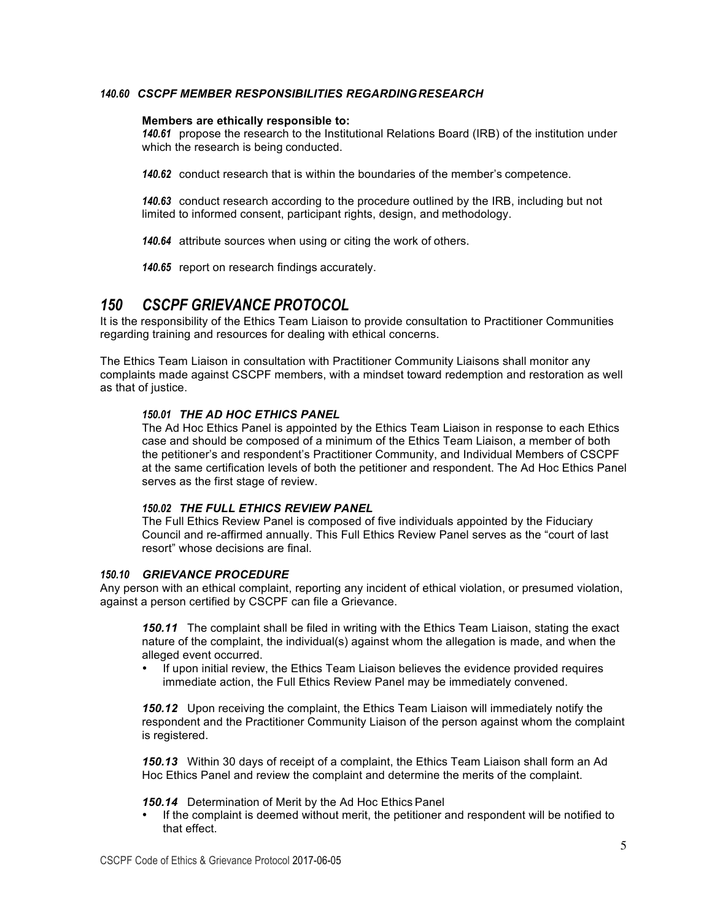## *140.60 CSCPF MEMBER RESPONSIBILITIES REGARDINGRESEARCH*

## **Members are ethically responsible to:**

*140.61* propose the research to the Institutional Relations Board (IRB) of the institution under which the research is being conducted.

*140.62* conduct research that is within the boundaries of the member's competence.

*140.63* conduct research according to the procedure outlined by the IRB, including but not limited to informed consent, participant rights, design, and methodology.

*140.64* attribute sources when using or citing the work of others.

*140.65* report on research findings accurately.

## *150 CSCPF GRIEVANCE PROTOCOL*

It is the responsibility of the Ethics Team Liaison to provide consultation to Practitioner Communities regarding training and resources for dealing with ethical concerns.

The Ethics Team Liaison in consultation with Practitioner Community Liaisons shall monitor any complaints made against CSCPF members, with a mindset toward redemption and restoration as well as that of justice.

## *150.01 THE AD HOC ETHICS PANEL*

The Ad Hoc Ethics Panel is appointed by the Ethics Team Liaison in response to each Ethics case and should be composed of a minimum of the Ethics Team Liaison, a member of both the petitioner's and respondent's Practitioner Community, and Individual Members of CSCPF at the same certification levels of both the petitioner and respondent. The Ad Hoc Ethics Panel serves as the first stage of review.

### *150.02 THE FULL ETHICS REVIEW PANEL*

The Full Ethics Review Panel is composed of five individuals appointed by the Fiduciary Council and re-affirmed annually. This Full Ethics Review Panel serves as the "court of last resort" whose decisions are final.

## *150.10 GRIEVANCE PROCEDURE*

Any person with an ethical complaint, reporting any incident of ethical violation, or presumed violation, against a person certified by CSCPF can file a Grievance.

*150.11* The complaint shall be filed in writing with the Ethics Team Liaison, stating the exact nature of the complaint, the individual(s) against whom the allegation is made, and when the alleged event occurred.

• If upon initial review, the Ethics Team Liaison believes the evidence provided requires immediate action, the Full Ethics Review Panel may be immediately convened.

*150.12* Upon receiving the complaint, the Ethics Team Liaison will immediately notify the respondent and the Practitioner Community Liaison of the person against whom the complaint is registered.

*150.13* Within 30 days of receipt of a complaint, the Ethics Team Liaison shall form an Ad Hoc Ethics Panel and review the complaint and determine the merits of the complaint.

*150.14* Determination of Merit by the Ad Hoc Ethics Panel

• If the complaint is deemed without merit, the petitioner and respondent will be notified to that effect.